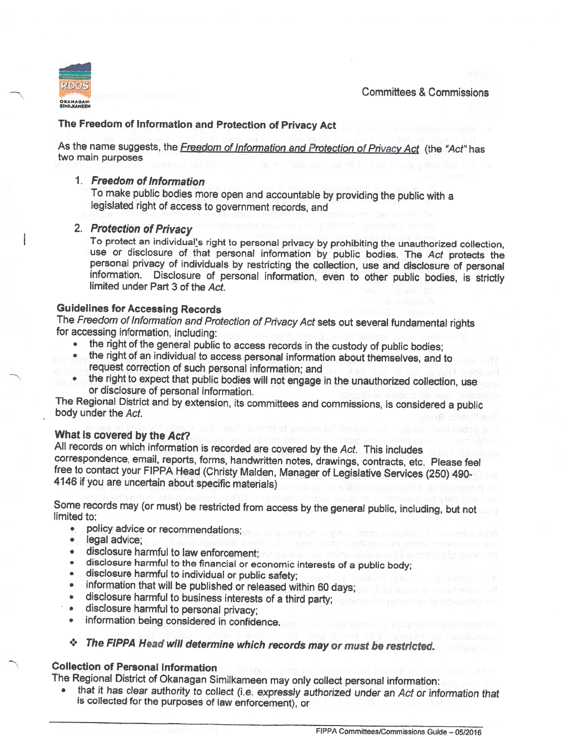Committees & Commissions



# The Freedom of Information and Protection of Privacy Act

As the name suggests, the Freedom of Information and Protection of Privacy Act (the "Act" has two main purposes

## 1. Freedom of Information

To make public bodies more open and accountable by providing the public with a legislated right of access to government records, and

### 2. Protection of Privacy

To protect an individual's right to personal privacy by prohibiting the unauthorized collection, use or disclosure of that personal information by public bodies. The Act protects the personal privacy of individuals by restricting the collection, use and disclosure of personal information. Disclosure of personal information, even to other public bodies, is strictly limited under Part 3 of the Act.

# Guidelines for Accessing Records

The Freedom of Information and Protection of Privacy Act sets out several fundamental rights for accessing information, including:

- the right of the general public to access records in the custody of public bodies;
- • the right of an individual to access personal information about themselves, and to request correction of such personal information; and
- the right to expect that public bodies will not engage in the unauthorized collection, use or disclosure of personal information.

The Regional District and by extension, its committees and commissions, is considered <sup>a</sup> public body under the Act.

What is covered by the Act?<br>All records on which information is recorded are covered by the Act. This includes correspondence, email, reports, forms, handwritten notes, drawings, contracts, etc. Please feel<br>free to contact your FIPPA Head (Christy Malden, Manager of Legislative Services (250) 490-<br>4146 if you are uncertain about sp

Some records may (or must) be restricted from access by the general public, including, but not

- policy advice or recommendations;<br>• legal advice:
- **·** legal advice;
- •disclosure harmful to law enforcement; on the second which address to large the branching
- • $\bullet$   $\;$  disclosure harmful to the financial or economic interests of a public body
- •disclosure harmful to individual or public safety;
- •information that will be published or released within <sup>60</sup> days;
- disclosure harmful to business interests of <sup>a</sup> third party;
- •disclosure harmful to personal privacy;
- •information being considered in confidence.

# <sup>+</sup> The FIPPA Head will determine which records may or must be restricted.

## Collection of Personal Information

The Regional District of Okanagan Similkameen may only collect personal information:

•that it has clear authority to collect (i.e. expressly authorized under an Act or information that is collected for the purposes of law enforcement), or